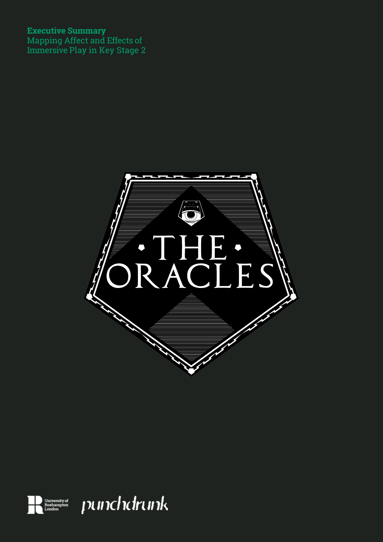### **Executive Summary**

Mapping Affect and Effects of Immersive Play in Key Stage 2



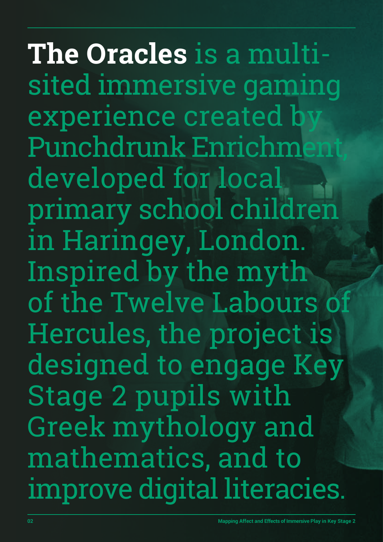**The Oracles** is a multisited immersive gaming experience created b Punchdrunk Enrichment, developed for local primary school children in Haringey, London. Inspired by the myth of the Twelve Labours of Hercules, the project is designed to engage Key Stage 2 pupils with Greek mythology and mathematics, and to improve digital literacies.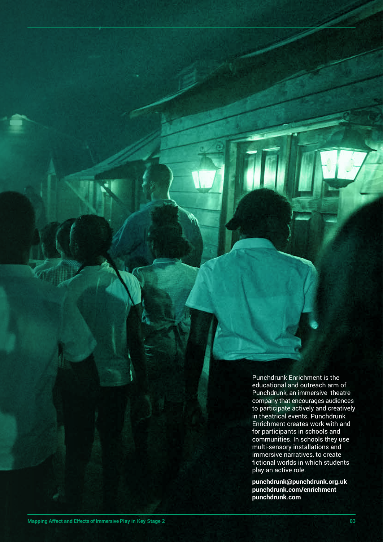Punchdrunk Enrichment is the educational and outreach arm of Punchdrunk, an immersive theatre company that encourages audiences to participate actively and creatively in theatrical events. Punchdrunk Enrichment creates work with and for participants in schools and communities. In schools they use multi-sensory installations and immersive narratives, to create fictional worlds in which students play an active role.

**punchdrunk@punchdrunk.org.uk punchdrunk.com/enrichment punchdrunk.com**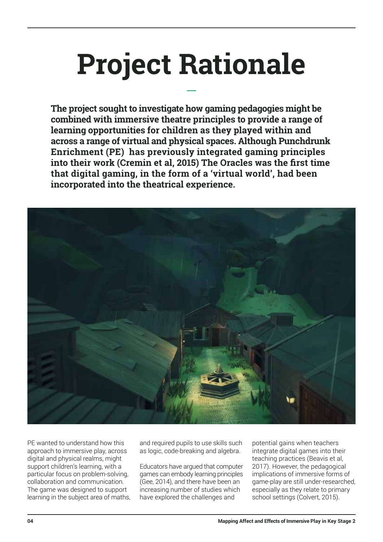# **Project Rationale**

**The project sought to investigate how gaming pedagogies might be combined with immersive theatre principles to provide a range of learning opportunities for children as they played within and across a range of virtual and physical spaces. Although Punchdrunk Enrichment (PE) has previously integrated gaming principles into their work (Cremin et al, 2015) The Oracles was the first time that digital gaming, in the form of a 'virtual world', had been incorporated into the theatrical experience.** 



PE wanted to understand how this approach to immersive play, across digital and physical realms, might support children's learning, with a particular focus on problem-solving, collaboration and communication. The game was designed to support learning in the subject area of maths,

and required pupils to use skills such as logic, code-breaking and algebra.

Educators have argued that computer games can embody learning principles (Gee, 2014), and there have been an increasing number of studies which have explored the challenges and

potential gains when teachers integrate digital games into their teaching practices (Beavis et al, 2017). However, the pedagogical implications of immersive forms of game-play are still under-researched, especially as they relate to primary school settings (Colvert, 2015).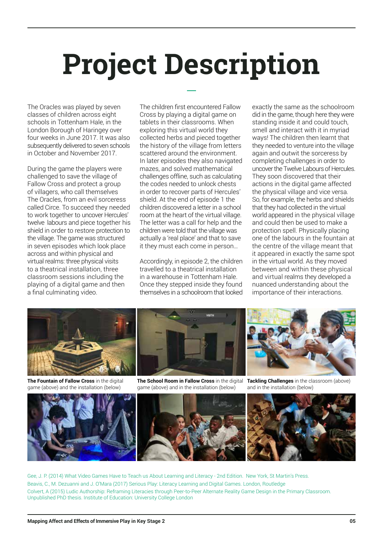# **Project Description**

The Oracles was played by seven classes of children across eight schools in Tottenham Hale, in the London Borough of Haringey over four weeks in June 2017. It was also subsequently delivered to seven schools in October and November 2017.

During the game the players were challenged to save the village of Fallow Cross and protect a group of villagers, who call themselves The Oracles, from an evil sorceress called Circe. To succeed they needed to work together to uncover Hercules' twelve labours and piece together his shield in order to restore protection to the village. The game was structured in seven episodes which look place across and within physical and virtual realms: three physical visits to a theatrical installation, three classroom sessions including the playing of a digital game and then a final culminating video.

The children first encountered Fallow Cross by playing a digital game on tablets in their classrooms. When exploring this virtual world they collected herbs and pieced together the history of the village from letters scattered around the environment. In later episodes they also navigated mazes, and solved mathematical challenges offline, such as calculating the codes needed to unlock chests in order to recover parts of Hercules' shield. At the end of episode 1 the children discovered a letter in a school room at the heart of the virtual village. The letter was a call for help and the children were told that the village was actually a 'real place' and that to save it they must each come in person…

Accordingly, in episode 2, the children travelled to a theatrical installation in a warehouse in Tottenham Hale. Once they stepped inside they found themselves in a schoolroom that looked exactly the same as the schoolroom did in the game, though here they were standing inside it and could touch, smell and interact with it in myriad ways! The children then learnt that they needed to venture into the village again and outwit the sorceress by completing challenges in order to uncover the Twelve Labours of Hercules. They soon discovered that their actions in the digital game affected the physical village and vice versa. So, for example, the herbs and shields that they had collected in the virtual world appeared in the physical village and could then be used to make a protection spell. Physically placing one of the labours in the fountain at the centre of the village meant that it appeared in exactly the same spot in the virtual world. As they moved between and within these physical and virtual realms they developed a nuanced understanding about the importance of their interactions.



**The Fountain of Fallow Cross** in the digital game (above) and the installation (below)





and in the installation (below)



Gee, J. P. (2014) What Video Games Have to Teach us About Learning and Literacy - 2nd Edition. New York, St Martin's Press. Beavis, C., M. Dezuanni and J. O'Mara (2017) Serious Play: Literacy Learning and Digital Games. London, Routledge Colvert, A (2015) Ludic Authorship: Reframing Literacies through Peer-to-Peer Alternate Reality Game Design in the Primary Classroom. Unpublished PhD thesis. Institute of Education: University College London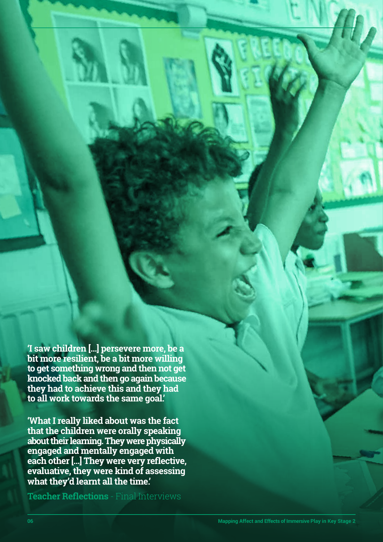**'I saw children […] persevere more, be a bit more resilient, be a bit more willing to get something wrong and then not get knocked back and then go again because they had to achieve this and they had to all work towards the same goal.'**

**'What I really liked about was the fact that the children were orally speaking about their learning. They were physically engaged and mentally engaged with each other […] They were very reflective, evaluative, they were kind of assessing what they'd learnt all the time.'**

**Teacher Reflections** - Final Interviews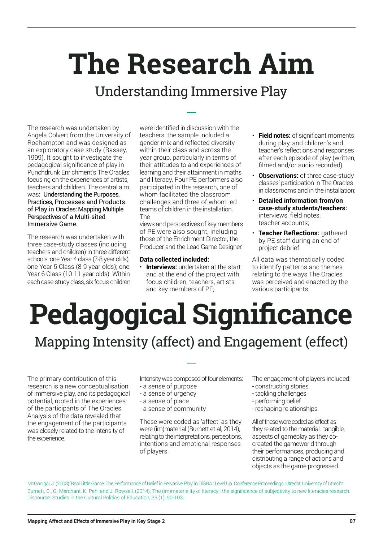## **The Research Aim**

### Understanding Immersive Play

The research was undertaken by Angela Colvert from the University of Roehampton and was designed as an exploratory case study (Bassey, 1999). It sought to investigate the pedagogical significance of play in Punchdrunk Enrichment's The Oracles focusing on the experiences of artists, teachers and children. The central aim was: Understanding the Purposes, Practices, Processes and Products of Play in Oracles: Mapping Multiple Perspectives of a Multi-sited Immersive Game.

The research was undertaken with three case-study classes (including teachers and children) in three different schools: one Year 4 class (7-8 year olds); one Year 5 Class (8-9 year olds); one Year 6 Class (10-11 year olds). Within each case-study class, six focus-children

were identified in discussion with the teachers: the sample included a gender mix and reflected diversity within their class and across the year group, particularly in terms of their attitudes to and experiences of learning and their attainment in maths and literacy. Four PE performers also participated in the research, one of whom facilitated the classroom challenges and three of whom led teams of children in the installation. The

views and perspectives of key members of PE were also sought, including those of the Enrichment Director, the Producer and the Lead Game Designer.

### **Data collected included:**

• **Interviews:** undertaken at the start and at the end of the project with focus-children, teachers, artists and key members of PE;

- **Field notes:** of significant moments during play, and children's and teacher's reflections and responses after each episode of play (written, filmed and/or audio recorded);
- **Observations:** of three case-study classes' participation in The Oracles in classrooms and in the installation;
- **Detailed information from/on case-study students/teachers:** interviews, field notes, teacher accounts;
- **Teacher Reflections:** gathered by PE staff during an end of project debrief.

All data was thematically coded to identify patterns and themes relating to the ways The Oracles was perceived and enacted by the various participants.

## **Pedagogical Significance** Mapping Intensity (affect) and Engagement (effect)

The primary contribution of this research is a new conceptualisation of immersive play, and its pedagogical potential, rooted in the experiences of the participants of The Oracles. Analysis of the data revealed that the engagement of the participants was closely related to the intensity of the experience.

Intensity was composed of four elements:

- a sense of purpose
- a sense of urgency
- a sense of place
- a sense of community

These were coded as 'affect' as they were (im)material (Burnett et al, 2014), relating to the interpretations, perceptions, intentions and emotional responses of players.

The engagement of players included:

- constructing stories
- tackling challenges
- performing belief
- reshaping relationships

All of these were coded as 'effect' as they related to the material, tangible, aspects of gameplay as they cocreated the gameworld through their performances, producing and distributing a range of actions and objects as the game progressed.

McGonigal, J. (2003) 'Real Little Game: The Performance of Belief in Pervasive Play' in DiGRA : Level Up Conference Proceedings. Utrecht, University of Utrecht Burnett, C., G. Merchant, K. Pahl and J. Rowsell, (2014). The (im)materiality of literacy : the significance of subjectivity to new literacies research. Discourse: Studies in the Cultural Politics of Education, 35 (1), 90-103.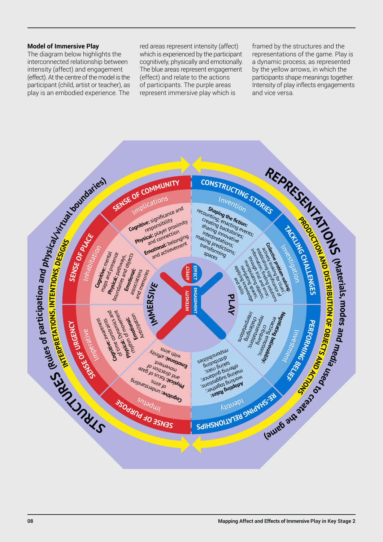### **Model of Immersive Play**

The diagram below highlights the interconnected relationship between intensity (affect) and engagement (effect). At the centre of the model is the participant (child, artist or teacher), as play is an embodied experience. The

red areas represent intensity (affect) which is experienced by the participant cognitively, physically and emotionally. The blue areas represent engagement (effect) and relate to the actions of participants. The purple areas represent immersive play which is

framed by the structures and the representations of the game. Play is a dynamic process, as represented by the yellow arrows, in which the participants shape meanings together. Intensity of play inflects engagements and vice versa.

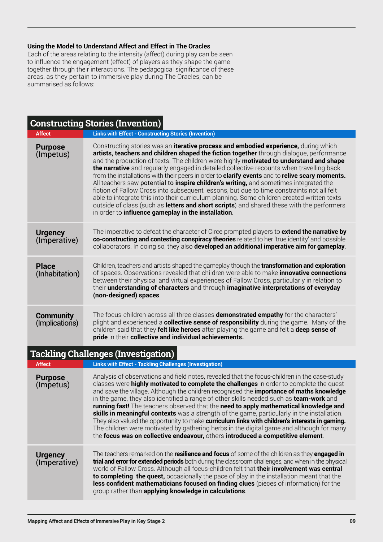### **Using the Model to Understand Affect and Effect in The Oracles**

Each of the areas relating to the intensity (affect) during play can be seen to influence the engagement (effect) of players as they shape the game together through their interactions. The pedagogical significance of these areas, as they pertain to immersive play during The Oracles, can be summarised as follows:

| <b>Constructing Stories (Invention)</b> |                                                                                                                                                                                                                                                                                                                                                                                                                                                                                                                                                                                                                                                                                                                                                                                                                                                                                                                                  |
|-----------------------------------------|----------------------------------------------------------------------------------------------------------------------------------------------------------------------------------------------------------------------------------------------------------------------------------------------------------------------------------------------------------------------------------------------------------------------------------------------------------------------------------------------------------------------------------------------------------------------------------------------------------------------------------------------------------------------------------------------------------------------------------------------------------------------------------------------------------------------------------------------------------------------------------------------------------------------------------|
| <b>Affect</b>                           | <b>Links with Effect - Constructing Stories (Invention)</b>                                                                                                                                                                                                                                                                                                                                                                                                                                                                                                                                                                                                                                                                                                                                                                                                                                                                      |
| <b>Purpose</b><br>(Impetus)             | Constructing stories was an iterative process and embodied experience, during which<br>artists, teachers and children shaped the fiction together through dialogue, performance<br>and the production of texts. The children were highly motivated to understand and shape<br>the narrative and regularly engaged in detailed collective recounts when travelling back<br>from the installations with their peers in order to <b>clarify events</b> and to <b>relive scary moments.</b><br>All teachers saw potential to inspire children's writing, and sometimes integrated the<br>fiction of Fallow Cross into subsequent lessons, but due to time constraints not all felt<br>able to integrate this into their curriculum planning. Some children created written texts<br>outside of class (such as letters and short scripts) and shared these with the performers<br>in order to influence gameplay in the installation. |
| <b>Urgency</b><br>(Imperative)          | The imperative to defeat the character of Circe prompted players to extend the narrative by<br>co-constructing and contesting conspiracy theories related to her 'true identity' and possible<br>collaborators. In doing so, they also developed an additional imperative aim for gameplay.                                                                                                                                                                                                                                                                                                                                                                                                                                                                                                                                                                                                                                      |
| <b>Place</b><br>(Inhabitation)          | Children, teachers and artists shaped the gameplay though the <b>transformation and exploration</b><br>of spaces. Observations revealed that children were able to make <i>innovative connections</i><br>between their physical and virtual experiences of Fallow Cross, particularly in relation to<br>their understanding of characters and through imaginative interpretations of everyday<br>(non-designed) spaces.                                                                                                                                                                                                                                                                                                                                                                                                                                                                                                          |
| <b>Community</b><br>(Implications)      | The focus-children across all three classes <b>demonstrated empathy</b> for the characters'<br>plight and experienced a <b>collective sense of responsibility</b> during the game. Many of the<br>children said that they felt like heroes after playing the game and felt a deep sense of<br>pride in their collective and individual achievements.                                                                                                                                                                                                                                                                                                                                                                                                                                                                                                                                                                             |
|                                         | <b>Tackling Challenges (Investigation)</b>                                                                                                                                                                                                                                                                                                                                                                                                                                                                                                                                                                                                                                                                                                                                                                                                                                                                                       |
| <b>Affect</b>                           | <b>Links with Effect - Tackling Challenges (Investigation)</b>                                                                                                                                                                                                                                                                                                                                                                                                                                                                                                                                                                                                                                                                                                                                                                                                                                                                   |
| <b>Purpose</b><br>(Impetus)             | Analysis of observations and field notes, revealed that the focus-children in the case-study<br>classes were highly motivated to complete the challenges in order to complete the quest<br>and save the village. Although the children recognised the <b>importance of maths knowledge</b><br>in the game, they also identified a range of other skills needed such as <b>team-work</b> and<br>running fast! The teachers observed that the need to apply mathematical knowledge and<br>skills in meaningful contexts was a strength of the game, particularly in the installation.<br>They also valued the opportunity to make curriculum links with children's interests in gaming.<br>The children were motivated by gathering herbs in the digital game and although for many<br>the focus was on collective endeavour, others introduced a competitive element.                                                             |
| <b>Urgency</b><br>(Imperative)          | The teachers remarked on the resilience and focus of some of the children as they engaged in<br>trial and error for extended periods both during the classroom challenges, and when in the physical<br>world of Fallow Cross. Although all focus-children felt that their involvement was central<br>to completing the quest, occasionally the pace of play in the installation meant that the<br>less confident mathematicians focused on finding clues (pieces of information) for the<br>group rather than applying knowledge in calculations.                                                                                                                                                                                                                                                                                                                                                                                |
|                                         |                                                                                                                                                                                                                                                                                                                                                                                                                                                                                                                                                                                                                                                                                                                                                                                                                                                                                                                                  |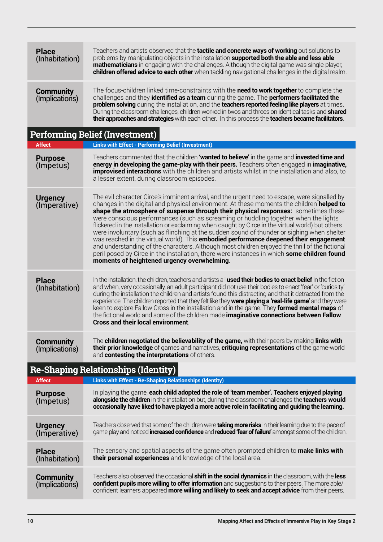| <b>Place</b><br>(Inhabitation)             | Teachers and artists observed that the tactile and concrete ways of working out solutions to<br>problems by manipulating objects in the installation supported both the able and less able<br><b>mathematicians</b> in engaging with the challenges. Although the digital game was single-player,<br>children offered advice to each other when tackling navigational challenges in the digital realm.                                                                                                                                                                                                                                                                                                                                                                                                                                                                                                                             |  |
|--------------------------------------------|------------------------------------------------------------------------------------------------------------------------------------------------------------------------------------------------------------------------------------------------------------------------------------------------------------------------------------------------------------------------------------------------------------------------------------------------------------------------------------------------------------------------------------------------------------------------------------------------------------------------------------------------------------------------------------------------------------------------------------------------------------------------------------------------------------------------------------------------------------------------------------------------------------------------------------|--|
| <b>Community</b><br>(Implications)         | The focus-children linked time-constraints with the <b>need to work together</b> to complete the<br>challenges and they <b>identified as a team</b> during the game. The <b>performers facilitated the</b><br>problem solving during the installation, and the teachers reported feeling like players at times.<br>During the classroom challenges, children worked in twos and threes on identical tasks and <b>shared</b><br>their approaches and strategies with each other. In this process the teachers became facilitators.                                                                                                                                                                                                                                                                                                                                                                                                  |  |
|                                            | <b>Performing Belief (Investment)</b>                                                                                                                                                                                                                                                                                                                                                                                                                                                                                                                                                                                                                                                                                                                                                                                                                                                                                              |  |
| <b>Affect</b>                              | <b>Links with Effect - Performing Belief (Investment)</b>                                                                                                                                                                                                                                                                                                                                                                                                                                                                                                                                                                                                                                                                                                                                                                                                                                                                          |  |
| <b>Purpose</b><br>(Impetus)                | Teachers commented that the children 'wanted to believe' in the game and invested time and<br>energy in developing the game-play with their peers. Teachers often engaged in imaginative,<br><b>improvised interactions</b> with the children and artists whilst in the installation and also, to<br>a lesser extent, during classroom episodes.                                                                                                                                                                                                                                                                                                                                                                                                                                                                                                                                                                                   |  |
| <b>Urgency</b><br>(Imperative)             | The evil character Circe's imminent arrival, and the urgent need to escape, were signalled by<br>changes in the digital and physical environment. At these moments the children <b>helped to</b><br>shape the atmosphere of suspense through their physical responses: sometimes these<br>were conscious performances (such as screaming or huddling together when the lights<br>flickered in the installation or exclaiming when caught by Circe in the virtual world) but others<br>were involuntary (such as flinching at the sudden sound of thunder or sighing when shelter<br>was reached in the virtual world). This <b>embodied performance deepened their engagement</b><br>and understanding of the characters. Although most children enjoyed the thrill of the fictional<br>peril posed by Circe in the installation, there were instances in which some children found<br>moments of heightened urgency overwhelming. |  |
| <b>Place</b><br>(Inhabitation)             | In the installation, the children, teachers and artists all used their bodies to enact belief in the fiction<br>and when, very occasionally, an adult participant did not use their bodies to enact 'fear' or 'curiosity'<br>during the installation the children and artists found this distracting and that it detracted from the<br>experience. The children reported that they felt like they were playing a 'real-life game' and they were<br>keen to explore Fallow Cross in the installation and in the game. They formed mental maps of<br>the fictional world and some of the children made imaginative connections between Fallow<br><b>Cross and their local environment.</b>                                                                                                                                                                                                                                           |  |
| Community<br>(Implications)                | The children negotiated the believability of the game, with their peers by making links with<br>their prior knowledge of games and narratives, critiquing representations of the game-world<br>and contesting the interpretations of others.                                                                                                                                                                                                                                                                                                                                                                                                                                                                                                                                                                                                                                                                                       |  |
| <b>Re-Shaping Relationships (Identity)</b> |                                                                                                                                                                                                                                                                                                                                                                                                                                                                                                                                                                                                                                                                                                                                                                                                                                                                                                                                    |  |
| <b>Affect</b>                              | <b>Links with Effect - Re-Shaping Relationships (Identity)</b>                                                                                                                                                                                                                                                                                                                                                                                                                                                                                                                                                                                                                                                                                                                                                                                                                                                                     |  |
| <b>Purpose</b><br>(Impetus)                | In playing the game, each child adopted the role of 'team member'. Teachers enjoyed playing<br>alongside the children in the installation but, during the classroom challenges the teachers would<br>occasionally have liked to have played a more active role in facilitating and guiding the learning.                                                                                                                                                                                                                                                                                                                                                                                                                                                                                                                                                                                                                           |  |
| <b>Urgency</b><br>(Imperative)             | Teachers observed that some of the children were <b>taking more risks</b> in their learning due to the pace of<br>game-play and noticed <b>increased confidence</b> and <b>reduced 'fear of failure'</b> amongst some of the children.                                                                                                                                                                                                                                                                                                                                                                                                                                                                                                                                                                                                                                                                                             |  |
| <b>Place</b><br>(Inhabitation)             | The sensory and spatial aspects of the game often prompted children to <b>make links with</b><br>their personal experiences and knowledge of the local area.                                                                                                                                                                                                                                                                                                                                                                                                                                                                                                                                                                                                                                                                                                                                                                       |  |
| <b>Community</b><br>(Implications)         | Teachers also observed the occasional <b>shift in the social dynamics</b> in the classroom, with the <b>less</b><br>confident pupils more willing to offer information and suggestions to their peers. The more able/<br>confident learners appeared more willing and likely to seek and accept advice from their peers.                                                                                                                                                                                                                                                                                                                                                                                                                                                                                                                                                                                                           |  |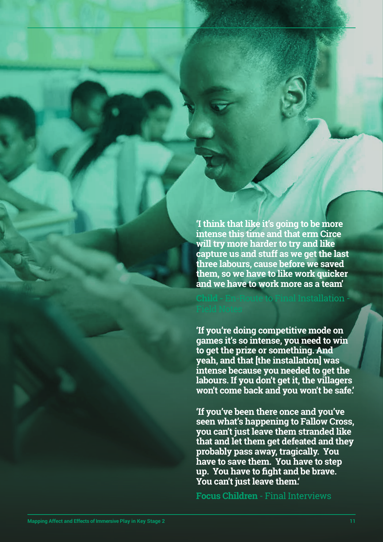**'I think that like it's going to be more intense this time and that erm Circe will try more harder to try and like capture us and stuff as we get the last three labours, cause before we saved them, so we have to like work quicker and we have to work more as a team'** 

### Installation -

**'If you're doing competitive mode on games it's so intense, you need to win to get the prize or something. And yeah, and that [the installation] was intense because you needed to get the labours. If you don't get it, the villagers won't come back and you won't be safe.'**

**'If you've been there once and you've seen what's happening to Fallow Cross, you can't just leave them stranded like that and let them get defeated and they probably pass away, tragically. You have to save them. You have to step up. You have to fight and be brave. You can't just leave them.'**

**Focus Children** - Final Interviews